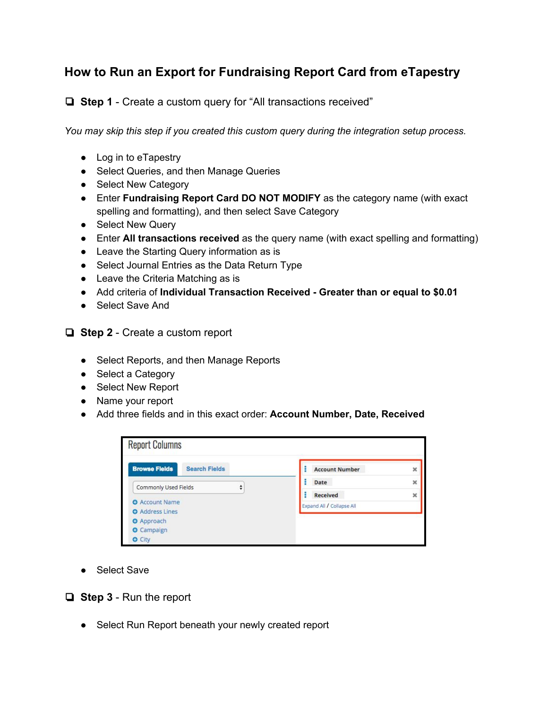## **How to Run an Export for Fundraising Report Card from eTapestry**

❏ **Step 1** - Create a custom query for "All transactions received"

*You may skip this step if you created this custom query during the integration setup process.*

- Log in to eTapestry
- Select Queries, and then Manage Queries
- Select New Category
- Enter **Fundraising Report Card DO NOT MODIFY** as the category name (with exact spelling and formatting), and then select Save Category
- Select New Query
- Enter **All transactions received** as the query name (with exact spelling and formatting)
- Leave the Starting Query information as is
- Select Journal Entries as the Data Return Type
- Leave the Criteria Matching as is
- Add criteria of **Individual Transaction Received - Greater than or equal to \$0.01**
- Select Save And
- ❏ **Step 2**  Create a custom report
	- Select Reports, and then Manage Reports
	- Select a Category
	- Select New Report
	- Name your report
	- Add three fields and in this exact order: **Account Number, Date, Received**

| <b>Report Columns</b>                        |                           |                         |
|----------------------------------------------|---------------------------|-------------------------|
| <b>Browse Fields</b><br><b>Search Fields</b> | <b>Account Number</b>     | $\overline{\mathbf{x}}$ |
| Commonly Used Fields                         | Date                      | ×                       |
| <b>O</b> Account Name                        | <b>Received</b>           | $\boldsymbol{\times}$   |
| <b>O</b> Address Lines                       | Expand All / Collapse All |                         |
| <b>O</b> Approach                            |                           |                         |
| <b>O</b> Campaign                            |                           |                         |
| <b>O</b> City                                |                           |                         |

● Select Save

❏ **Step 3** - Run the report

● Select Run Report beneath your newly created report